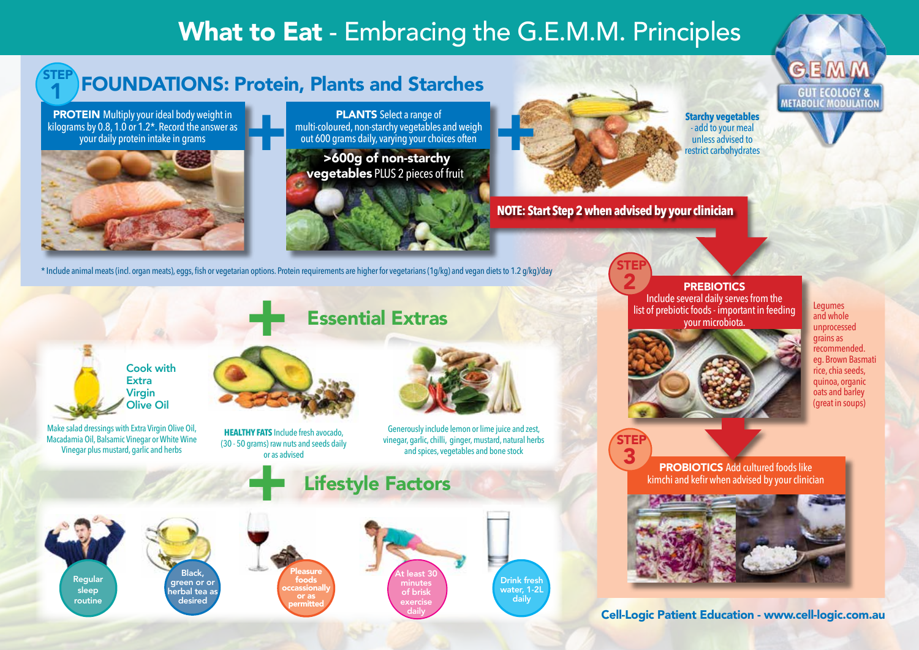## What to Eat - Embracing the G.E.M.M. Principles

### FOUNDATIONS: Protein, Plants and Starches

**PROTEIN** Multiply your ideal body weight in kilograms by 0.8, 1.0 or 1.2\*. Record the answer as your daily protein intake in grams

1 STEP



Cook with **Extra** Virgin Olive Oil

Macadamia Oil, Balsamic Vinegar or White Wine Vinegar plus mustard, garlic and herbs

PLANTS Select a range of multi-coloured, non-starchy vegetables and weigh out 600 grams daily, varying your choices often PLANTS Select a range of<br>
multi-coloured, non-starchy vegetables and weigh<br>
out 600 grams daily, varying your choices often<br>
>600g of non-starchy

 >600g of non-starchy vegetables PLUS 2 pieces of fruit



Essential Extras



**NOTE: Start Step 2 when advised by your clinician**

STEP

**GUT ECOLOGY & METABOLIC MODULATION** 



**PREBIOTICS** 

Include several daily serves from the list of prebiotic foods - important in feeding your microbiota. <u>2</u>

**Starchy vegetables**  - add to your meal unless advised to restrict carbohydrates



Legumes and whole unprocessed grains as recommended. eg. Brown Basmati rice, chia seeds, quinoa, organic oats and barley (great in soups)

Make salad dressings with Extra Virgin Olive Oil,

 $\pm$ 

**HEALTHY FATS** Include fresh avocado, (30 - 50 grams) raw nuts and seeds daily or as advised



Generously include lemon or lime juice and zest, vinegar, garlic, chilli, ginger, mustard, natural herbs and spices, vegetables and bone stock

> Drink fresh water, 1-2L daily





**Lifestyle Factors** 





Cell-Logic Patient Education - www.cell-logic.com.au